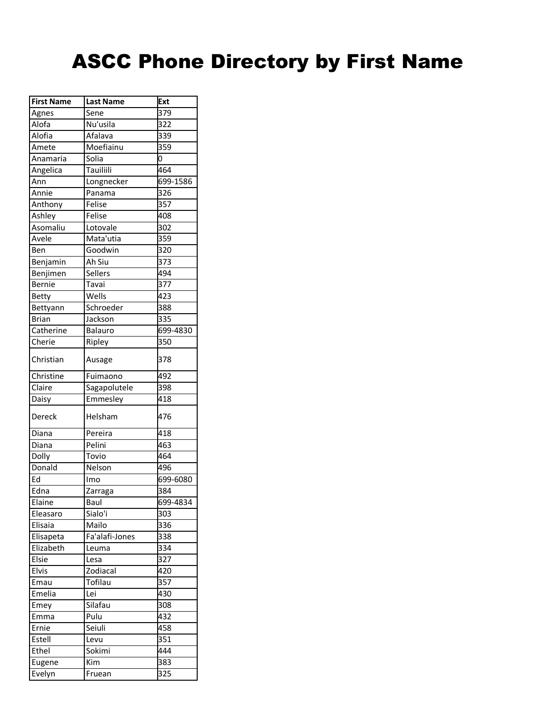| <b>First Name</b> | <b>Last Name</b> | <b>Ext</b> |
|-------------------|------------------|------------|
| Agnes             | Sene             | 379        |
| Alofa             | Nu'usila         | 322        |
| Alofia            | Afalava          | 339        |
| Amete             | Moefiainu        | 359        |
| Anamaria          | Solia            | 0          |
| Angelica          | Tauiliili        | 464        |
| Ann               | Longnecker       | 699-1586   |
| Annie             | Panama           | 326        |
| Anthony           | Felise           | 357        |
| Ashley            | Felise           | 408        |
| Asomaliu          | Lotovale         | 302        |
| Avele             | Mata'utia        | 359        |
| Ben               | Goodwin          | 320        |
| Benjamin          | Ah Siu           | 373        |
| Benjimen          | <b>Sellers</b>   | 494        |
| <b>Bernie</b>     | Tavai            | 377        |
| <b>Betty</b>      | Wells            | 423        |
| Bettyann          | Schroeder        | 388        |
| <b>Brian</b>      | Jackson          | 335        |
| Catherine         | Balauro          | 699-4830   |
| Cherie            | Ripley           | 350        |
|                   |                  |            |
| Christian         | Ausage           | 378        |
| Christine         | Fuimaono         | 492        |
| Claire            | Sagapolutele     | 398        |
| Daisy             | Emmesley         | 418        |
| Dereck            | Helsham          | 476        |
| Diana             | Pereira          | 418        |
| Diana             | Pelini           | 463        |
| Dolly             | Tovio            | 464        |
| Donald            | Nelson           | 496        |
| Ed                | Imo              | 699-6080   |
| Edna              | Zarraga          | 384        |
| Elaine            | Baul             | 699-4834   |
| Eleasaro          | Sialo'i          | 303        |
| Elisaia           | Mailo            | 336        |
| Elisapeta         | Fa'alafi-Jones   | 338        |
| Elizabeth         | Leuma            | 334        |
| Elsie             | Lesa             | 327        |
| Elvis             | Zodiacal         | 420        |
| Emau              | Tofilau          | 357        |
| Emelia            | Lei              | 430        |
| Emey              | Silafau          | 308        |
| Emma              | Pulu             | 432        |
| Ernie             | Seiuli           | 458        |
| Estell            | Levu             | 351        |
| Ethel             | Sokimi           | 444        |
| Eugene            | Kim              | 383        |
| Evelyn            | Fruean           | 325        |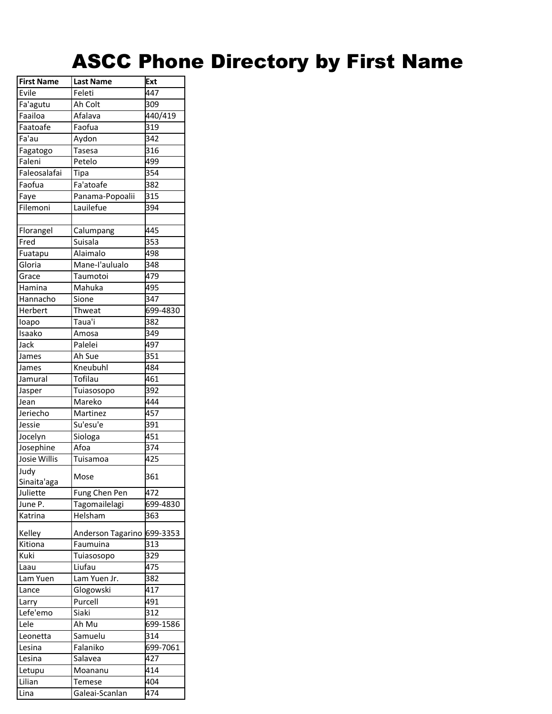| <b>First Name</b>   | <b>Last Name</b>  | Ext      |
|---------------------|-------------------|----------|
| Evile               | Feleti            | 447      |
| Fa'agutu            | Ah Colt           | 309      |
| Faailoa             | Afalava           | 440/419  |
| Faatoafe            | Faofua            | 319      |
| Fa'au               | Aydon             | 342      |
| Fagatogo            | <b>Tasesa</b>     | 316      |
| Faleni              | Petelo            | 499      |
| Faleosalafai        | Tipa              | 354      |
| Faofua              | Fa'atoafe         | 382      |
| Faye                | Panama-Popoalii   | 315      |
| Filemoni            | Lauilefue         | 394      |
|                     |                   |          |
| Florangel           | Calumpang         | 445      |
| Fred                | Suisala           | 353      |
| Fuatapu             | Alaimalo          | 498      |
| Gloria              | Mane-I'aulualo    | 348      |
| Grace               | Taumotoi          | 479      |
| Hamina              | Mahuka            | 495      |
| Hannacho            | Sione             | 347      |
| Herbert             | Thweat            | 699-4830 |
|                     | Taua'i            | 382      |
| loapo<br>Isaako     |                   | 349      |
| Jack                | Amosa<br>Palelei  |          |
|                     |                   | 497      |
| James               | Ah Sue            | 351      |
| James               | Kneubuhl          | 484      |
| Jamural             | Tofilau           | 461      |
| Jasper              | Tuiasosopo        | 392      |
| Jean                | Mareko            | 444      |
| Jeriecho            | Martinez          | 457      |
| Jessie              | Su'esu'e          | 391      |
| Jocelyn             | Siologa           | 451      |
| Josephine           | Afoa              | 374      |
| <b>Josie Willis</b> | Tuisamoa          | 425      |
| Judy<br>Sinaita'aga | Mose              | 361      |
| Juliette            | Fung Chen Pen     | 472      |
| June P.             | Tagomailelagi     | 699-4830 |
| Katrina             | Helsham           | 363      |
| Kelley              | Anderson Tagarino | 699-3353 |
| Kitiona             | Faumuina          | 313      |
| Kuki                | Tuiasosopo        | 329      |
| Laau                | Liufau            | 475      |
| Lam Yuen            | Lam Yuen Jr.      | 382      |
| Lance               | Glogowski         | 417      |
| Larry               | Purcell           | 491      |
| Lefe'emo            | Siaki             | 312      |
| Lele                | Ah Mu             | 699-1586 |
| Leonetta            | Samuelu           | 314      |
| Lesina              | Falaniko          | 699-7061 |
| Lesina              | Salavea           | 427      |
|                     |                   | 414      |
| Letupu              | Moananu           |          |
| Lilian              | Temese            | 404      |
| Lina                | Galeai-Scanlan    | 474      |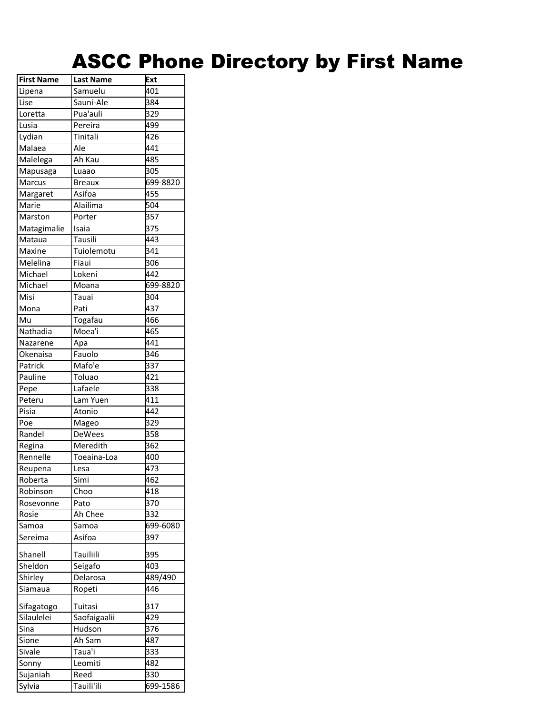| <b>First Name</b>             | <b>Last Name</b> | Ext      |
|-------------------------------|------------------|----------|
| Lipena                        | Samuelu          | 401      |
| Lise                          | Sauni-Ale        | 384      |
| Loretta                       | Pua'auli         | 329      |
| Lusia                         | Pereira          | 499      |
| Lydian                        | Tinitali         | 426      |
| $\overline{\mathsf{M}}$ alaea | Ale              | 441      |
| Malelega                      | Ah Kau           | 485      |
| Mapusaga                      | Luaao            | 305      |
| <b>Marcus</b>                 | <b>Breaux</b>    | 699-8820 |
| Margaret                      | Asifoa           | 455      |
| Marie                         | Alailima         | 504      |
| Marston                       | Porter           | 357      |
| Matagimalie                   | Isaia            | 375      |
| Mataua                        | Tausili          | 443      |
| Maxine                        | Tuiolemotu       | 341      |
| Melelina                      | Fiaui            | 306      |
| Michael                       | Lokeni           | 442      |
| Michael                       | Moana            | 699-8820 |
| Misi                          | Tauai            | 304      |
| Mona                          | Pati             | 437      |
| Mu                            | Togafau          | 466      |
| Nathadia                      | Moea'i           | 465      |
| Nazarene                      | Apa              | 441      |
| Okenaisa                      | Fauolo           | 346      |
| Patrick                       | Mafo'e           | 337      |
| Pauline                       | Toluao           | 421      |
| Pepe                          | Lafaele          | 338      |
| Peteru                        | Lam Yuen         | 411      |
| Pisia                         | Atonio           | 442      |
| Poe                           | Mageo            | 329      |
| Randel                        | <b>DeWees</b>    | 358      |
| Regina                        | Meredith         | 362      |
| Rennelle                      | Toeaina-Loa      | 400      |
| Reupena                       | Lesa             | 473      |
| Roberta                       | Simi             | 462      |
| Robinson                      | Choo             | 418      |
| Rosevonne                     | Pato             | 370      |
| Rosie                         | Ah Chee          | 332      |
| Samoa                         | Samoa            | 699-6080 |
| Sereima                       | Asifoa           | 397      |
| Shanell                       | <b>Tauiliili</b> | 395      |
| Sheldon                       | Seigafo          | 403      |
| Shirley                       | Delarosa         | 489/490  |
| Siamaua                       | Ropeti           | 446      |
|                               |                  |          |
| Sifagatogo                    | Tuitasi          | 317      |
| Silaulelei                    | Saofaigaalii     | 429      |
| Sina                          | Hudson           | 376      |
| Sione                         | Ah Sam           | 487      |
| Sivale                        | Taua'i           | 333      |
| Sonny                         | Leomiti          | 482      |
| Sujaniah                      | Reed             | 330      |
| Sylvia                        | Tauili'ili       | 699-1586 |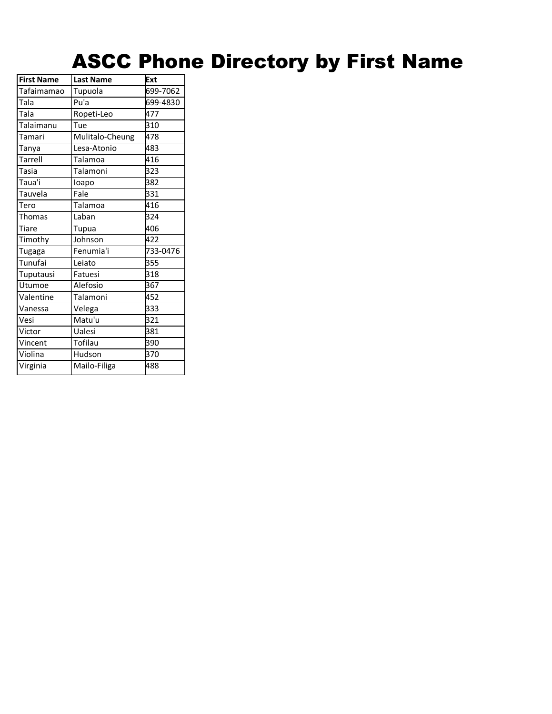| <b>First Name</b> | <b>Last Name</b>  | Ext      |
|-------------------|-------------------|----------|
| Tafaimamao        | Tupuola           | 699-7062 |
| Tala              | P <sub>u</sub> 'a | 699-4830 |
| Tala              | Ropeti-Leo        | 477      |
| Talaimanu         | Tue               | 310      |
| Tamari            | Mulitalo-Cheung   | 478      |
| Tanya             | Lesa-Atonio       | 483      |
| <b>Tarrell</b>    | Talamoa           | 416      |
| <b>Tasia</b>      | Talamoni          | 323      |
| Taua'i            | loapo             | 382      |
| Tauvela           | Fale              | 331      |
| Tero              | Talamoa           | 416      |
| <b>Thomas</b>     | Laban             | 324      |
| <b>Tiare</b>      | Tupua             | 406      |
| Timothy           | Johnson           | 422      |
| Tugaga            | Fenumia'i         | 733-0476 |
| Tunufai           | Leiato            | 355      |
| Tuputausi         | Fatuesi           | 318      |
| Utumoe            | Alefosio          | 367      |
| Valentine         | Talamoni          | 452      |
| Vanessa           | Velega            | 333      |
| Vesi              | Matu'u            | 321      |
| Victor            | Ualesi            | 381      |
| Vincent           | Tofilau           | 390      |
| Violina           | Hudson            | 370      |
| Virginia          | Mailo-Filiga      | 488      |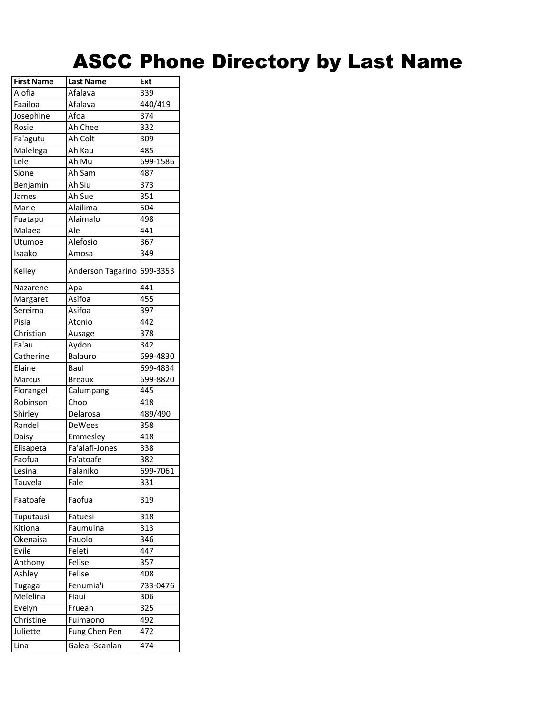| <b>First Name</b> | Last Name         | lExt         |
|-------------------|-------------------|--------------|
| Alofia            | Afalava           | 339          |
| Faailoa           | Afalava           | 440/419      |
| Josephine         | Afoa              | 374          |
| Rosie             | Ah Chee           | 332          |
| Fa'agutu          | Ah Colt           | 309          |
| Malelega          | Ah Kau            | 485          |
| Lele              | Ah Mu             | $699 - 1586$ |
| Sione             | Ah Sam            | 487          |
| Benjamin          | Ah Siu            | 373          |
| James             | Ah Sue            | 351          |
| Marie             | Alailima          | 504          |
| Fuatapu           | Alaimalo          | 498          |
| Malaea            | Ale               | 441          |
| Utumoe            | Alefosio          | 367          |
| Isaako            | Amosa             | 349          |
| Kelley            | Anderson Tagarino | 699-3353     |
| Nazarene          | Apa               | 441          |
| Margaret          | Asifoa            | 455          |
| Sereima           | Asifoa            | 397          |
| Pisia             | Atonio            | 442          |
| Christian         | Ausage            | 378          |
| Fa'au             | Aydon             | 342          |
| Catherine         | <b>Balauro</b>    | 699-4830     |
| Elaine            | Baul              | 699-4834     |
| Marcus            | <b>Breaux</b>     | 699-8820     |
| Florangel         | Calumpang         | 445          |
| Robinson          | Choo              | 418          |
| Shirley           | Delarosa          | 489/490      |
| Randel            | <b>DeWees</b>     | 358          |
| Daisy             | Emmesley          | 418          |
| Elisapeta         | Fa'alafi-Jones    | 338          |
| Faofua            | Fa'atoafe         | 382          |
| Lesina            | Falaniko          | 699-7061     |
| Tauvela           | Fale              | 331          |
| Faatoafe          | Faofua            | 319          |
| Tuputausi         | Fatuesi           | 318          |
| Kitiona           | Faumuina          | 313          |
| Okenaisa          | Fauolo            | 346          |
| Evile             | Feleti            | 447          |
| Anthony           | Felise            | 357          |
| Ashley            | Felise            | 408          |
| Tugaga            | Fenumia'i         | 733-0476     |
| Melelina          | Fiaui             | 306          |
| Evelyn            | Fruean            | 325          |
| Christine         | Fuimaono          | 492          |
| Juliette          | Fung Chen Pen     | 472          |
| Lina              | Galeai-Scanlan    | 474          |
|                   |                   |              |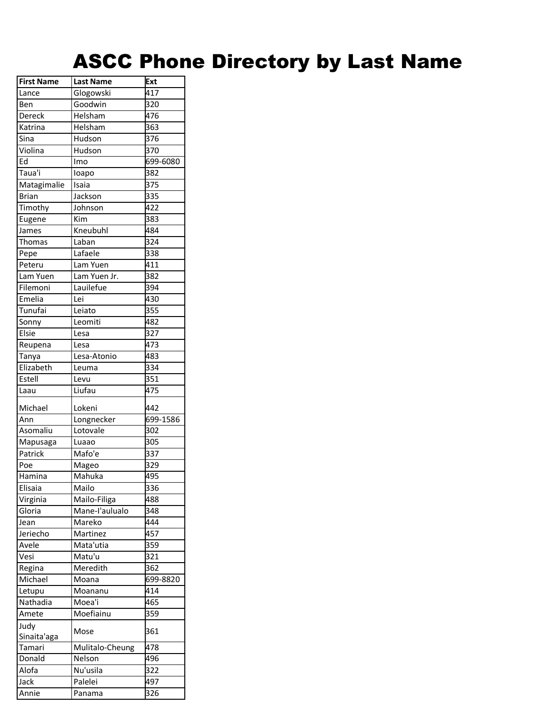| <b>First Name</b> | Last Name       | lExt     |
|-------------------|-----------------|----------|
| Lance             | Glogowski       | 417      |
| Ben               | Goodwin         | 320      |
| Dereck            | Helsham         | 476      |
| Katrina           | Helsham         | 363      |
| Sina              | Hudson          | 376      |
| Violina           | Hudson          | 370      |
| Ed                | Imo             | 699-6080 |
| Taua'i            | loapo           | 382      |
| Matagimalie       | Isaia           | 375      |
| <b>Brian</b>      | Jackson         | 335      |
| Timothy           | Johnson         | 422      |
| Eugene            | Kim             | 383      |
| James             | Kneubuhl        | 484      |
| Thomas            | Laban           | 324      |
| Pepe              | Lafaele         | 338      |
| Peteru            | Lam Yuen        | 411      |
| Lam Yuen          | Lam Yuen Jr.    | 382      |
| Filemoni          | Lauilefue       | 394      |
| Emelia            | Lei             | 430      |
| Tunufai           | Leiato          | 355      |
| Sonny             | Leomiti         | 482      |
| Elsie             | Lesa            | 327      |
| Reupena           | Lesa            | 473      |
| Tanya             | Lesa-Atonio     | 483      |
| Elizabeth         | Leuma           | 334      |
| Estell            | Levu            | 351      |
| Laau              | Liufau          | 475      |
|                   |                 |          |
| Michael           | Lokeni          | 442      |
| Ann               | Longnecker      | 699-1586 |
| Asomaliu          | Lotovale        | 302      |
| Mapusaga          | Luaao           | 305      |
| Patrick           | Mafo'e          | 337      |
| Poe               | Mageo           | 329      |
| Hamina            | Mahuka          | 495      |
| Elisaia           | Mailo           | 336      |
| Virginia          | Mailo-Filiga    | 488      |
| Gloria            | Mane-I'aulualo  | 348      |
| Jean              | Mareko          | 444      |
| Jeriecho          | Martinez        | 457      |
| Avele             | Mata'utia       | 359      |
| Vesi              | Matu'u          | 321      |
| Regina            | Meredith        | 362      |
| Michael           | Moana           | 699-8820 |
| Letupu            | Moananu         | 414      |
| Nathadia          | Moea'i          | 465      |
| Amete             | Moefiainu       | 359      |
| Judy              |                 |          |
| Sinaita'aga       | Mose            | 361      |
| Tamari            | Mulitalo-Cheung | 478      |
| Donald            | Nelson          | 496      |
| Alofa             | Nu'usila        | 322      |
| Jack              | Palelei         | 497      |
| Annie             | Panama          | 326      |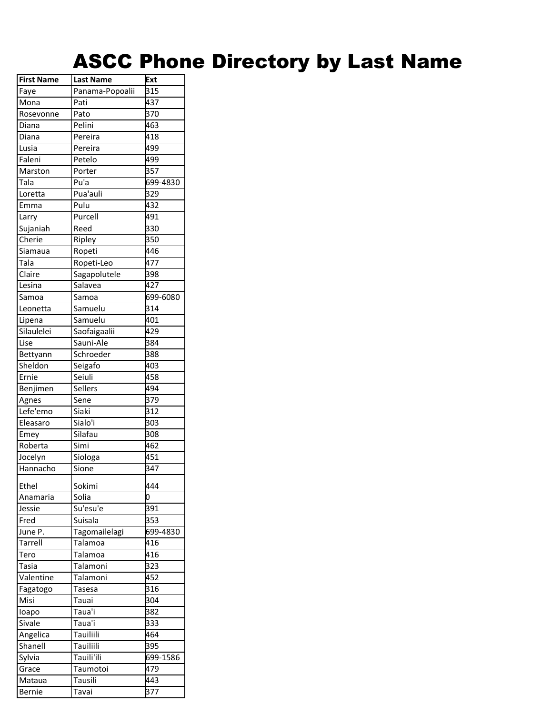| <b>First Name</b> | <b>Last Name</b>  | Ext      |
|-------------------|-------------------|----------|
| Faye              | Panama-Popoalii   | 315      |
| Mona              | Pati              | 437      |
| Rosevonne         | Pato              | 370      |
| Diana             | Pelini            | 463      |
| Diana             | Pereira           | 418      |
| Lusia             | Pereira           | 499      |
| Faleni            | Petelo            | 499      |
| Marston           | Porter            | 357      |
| Tala              | Pu'a              | 699-4830 |
| Loretta           | Pua'auli          | 329      |
| Emma              | Pulu              | 432      |
| Larry             | Purcell           | 491      |
| Sujaniah          | Reed              | 330      |
| Cherie            | Ripley            | 350      |
| Siamaua           | Ropeti            | 446      |
| Tala              | Ropeti-Leo        | 477      |
| Claire            | Sagapolutele      | 398      |
| Lesina            | Salavea           | 427      |
| Samoa             | Samoa             | 699-6080 |
| Leonetta          | Samuelu           | 314      |
| Lipena            | Samuelu           | 401      |
| Silaulelei        | Saofaigaalii      | 429      |
| Lise              | Sauni-Ale         | 384      |
| Bettyann          | Schroeder         | 388      |
| Sheldon           |                   | 403      |
| Ernie             | Seigafo<br>Seiuli | 458      |
|                   | Sellers           | 494      |
| Benjimen          |                   |          |
| Agnes<br>Lefe'emo | Sene              | 379      |
|                   | Siaki<br>Sialo'i  | 312      |
| Eleasaro          |                   | 303      |
| Emey              | Silafau           | 308      |
| Roberta           | Simi              | 462      |
| Jocelyn           | Siologa           | 451      |
| Hannacho          | Sione             | 347      |
| Ethel             | Sokimi            | 444      |
| Anamaria          | Solia             | 0        |
| Jessie            | Su'esu'e          | 391      |
| Fred              | Suisala           | 353      |
| June P.           | Tagomailelagi     | 699-4830 |
| <b>Tarrell</b>    | Talamoa           | 416      |
| Tero              | Talamoa           | 416      |
| Tasia             | Talamoni          | 323      |
| Valentine         | Talamoni          | 452      |
| Fagatogo          | <b>Tasesa</b>     | 316      |
| Misi              | Tauai             | 304      |
| loapo             | Taua'i            | 382      |
| Sivale            | Taua'i            | 333      |
| Angelica          | Tauiliili         | 464      |
| Shanell           | Tauiliili         | 395      |
| Sylvia            | Tauili'ili        | 699-1586 |
| Grace             | Taumotoi          | 479      |
| Mataua            | Tausili           | 443      |
| Bernie            | Tavai             | 377      |
|                   |                   |          |